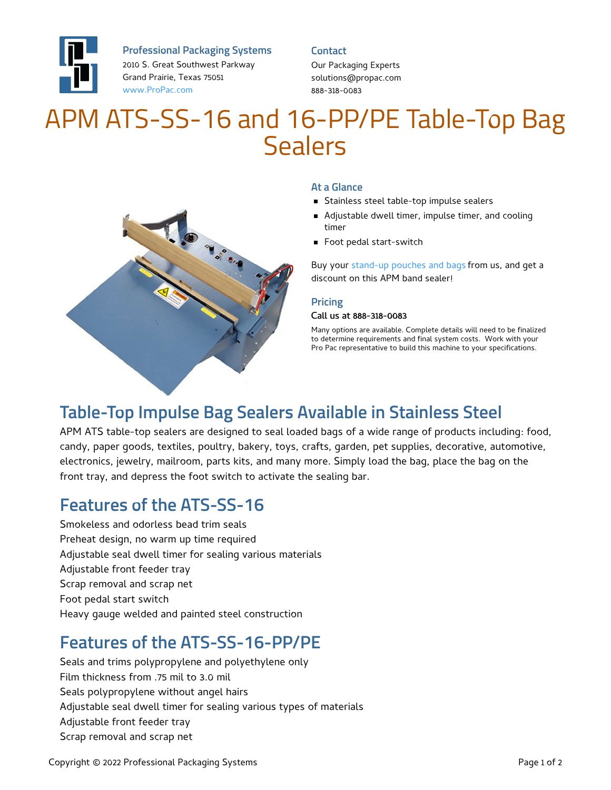

**Professional Packaging Systems**

2010 S. Great Southwest Parkway Grand Prairie, Texas 75051 [www.ProPac.com](https://www.propac.com/)

### **Contact**

Our Packaging Experts solutions@propac.com 888-318-0083

# APM ATS-SS-16 and 16-PP/PE Table-Top Bag Sealers



### **At a Glance**

- **Stainless steel table-top impulse sealers**
- Adjustable dwell timer, impulse timer, and cooling timer
- **Foot pedal start-switch**

Buy your [stand-up](file:///custom-materials/wicket-bags-pouches/) pouches and bags from us, and get a discount on this APM band sealer!

### **Pricing**

#### Call us at 888-318-0083

Many options are available. Complete details will need to be finalized to determine requirements and final system costs. Work with your Pro Pac representative to build this machine to your specifications.

# **Table-Top Impulse Bag Sealers Available in Stainless Steel**

APM ATS table-top sealers are designed to seal loaded bags of a wide range of products including: food, candy, paper goods, textiles, poultry, bakery, toys, crafts, garden, pet supplies, decorative, automotive, electronics, jewelry, mailroom, parts kits, and many more. Simply load the bag, place the bag on the front tray, and depress the foot switch to activate the sealing bar.

### **Features of the ATS-SS-16**

Smokeless and odorless bead trim seals Preheat design, no warm up time required Adjustable seal dwell timer for sealing various materials Adjustable front feeder tray Scrap removal and scrap net Foot pedal start switch Heavy gauge welded and painted steel construction

# **Features of the ATS-SS-16-PP/PE**

Seals and trims polypropylene and polyethylene only Film thickness from .75 mil to 3.0 mil Seals polypropylene without angel hairs Adjustable seal dwell timer for sealing various types of materials Adjustable front feeder tray Scrap removal and scrap net